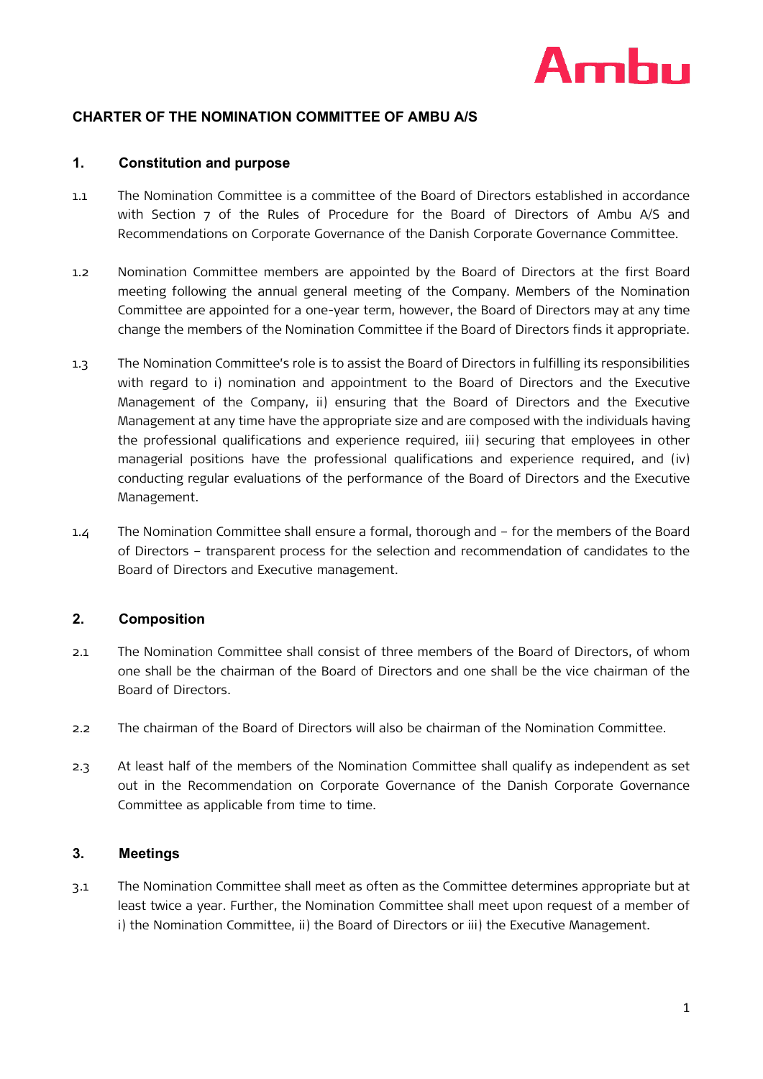

# **CHARTER OF THE NOMINATION COMMITTEE OF AMBU A/S**

### **1. Constitution and purpose**

- 1.1 The Nomination Committee is a committee of the Board of Directors established in accordance with Section 7 of the Rules of Procedure for the Board of Directors of Ambu A/S and Recommendations on Corporate Governance of the Danish Corporate Governance Committee.
- 1.2 Nomination Committee members are appointed by the Board of Directors at the first Board meeting following the annual general meeting of the Company. Members of the Nomination Committee are appointed for a one-year term, however, the Board of Directors may at any time change the members of the Nomination Committee if the Board of Directors finds it appropriate.
- 1.3 The Nomination Committee's role is to assist the Board of Directors in fulfilling its responsibilities with regard to i) nomination and appointment to the Board of Directors and the Executive Management of the Company, ii) ensuring that the Board of Directors and the Executive Management at any time have the appropriate size and are composed with the individuals having the professional qualifications and experience required, iii) securing that employees in other managerial positions have the professional qualifications and experience required, and (iv) conducting regular evaluations of the performance of the Board of Directors and the Executive Management.
- 1.4 The Nomination Committee shall ensure a formal, thorough and for the members of the Board of Directors – transparent process for the selection and recommendation of candidates to the Board of Directors and Executive management.

## **2. Composition**

- 2.1 The Nomination Committee shall consist of three members of the Board of Directors, of whom one shall be the chairman of the Board of Directors and one shall be the vice chairman of the Board of Directors.
- 2.2 The chairman of the Board of Directors will also be chairman of the Nomination Committee.
- 2.3 At least half of the members of the Nomination Committee shall qualify as independent as set out in the Recommendation on Corporate Governance of the Danish Corporate Governance Committee as applicable from time to time.

#### **3. Meetings**

3.1 The Nomination Committee shall meet as often as the Committee determines appropriate but at least twice a year. Further, the Nomination Committee shall meet upon request of a member of i) the Nomination Committee, ii) the Board of Directors or iii) the Executive Management.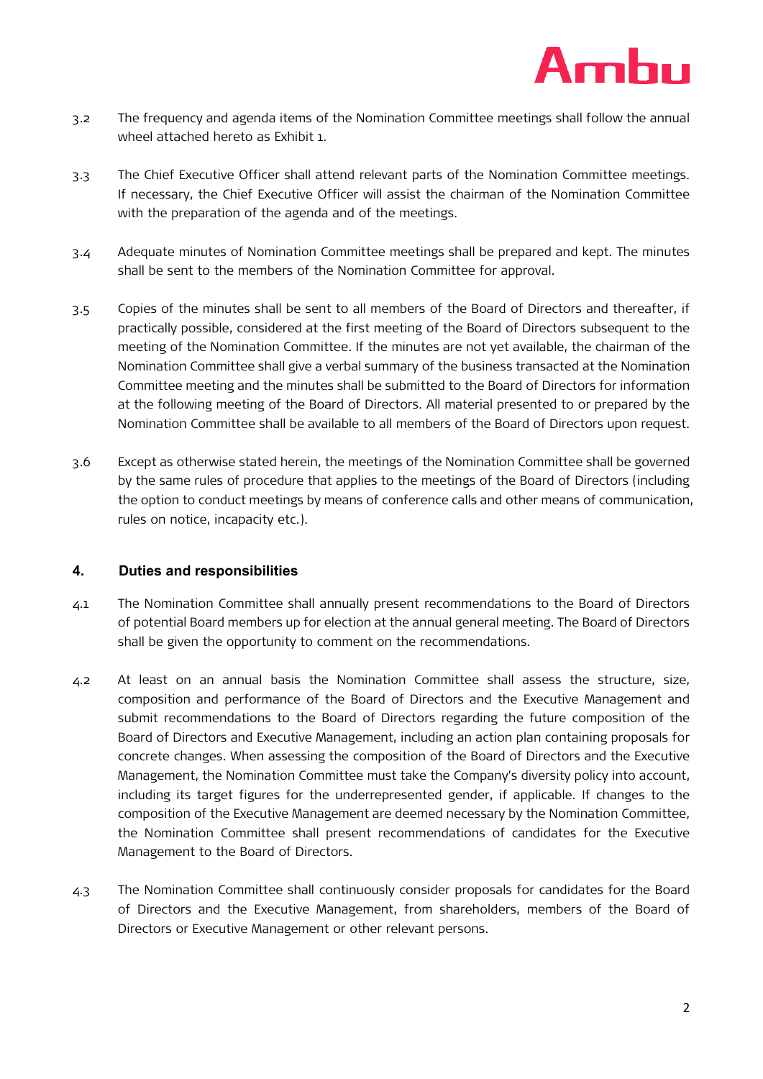

- 3.2 The frequency and agenda items of the Nomination Committee meetings shall follow the annual wheel attached hereto as Exhibit 1.
- 3.3 The Chief Executive Officer shall attend relevant parts of the Nomination Committee meetings. If necessary, the Chief Executive Officer will assist the chairman of the Nomination Committee with the preparation of the agenda and of the meetings.
- 3.4 Adequate minutes of Nomination Committee meetings shall be prepared and kept. The minutes shall be sent to the members of the Nomination Committee for approval.
- 3.5 Copies of the minutes shall be sent to all members of the Board of Directors and thereafter, if practically possible, considered at the first meeting of the Board of Directors subsequent to the meeting of the Nomination Committee. If the minutes are not yet available, the chairman of the Nomination Committee shall give a verbal summary of the business transacted at the Nomination Committee meeting and the minutes shall be submitted to the Board of Directors for information at the following meeting of the Board of Directors. All material presented to or prepared by the Nomination Committee shall be available to all members of the Board of Directors upon request.
- 3.6 Except as otherwise stated herein, the meetings of the Nomination Committee shall be governed by the same rules of procedure that applies to the meetings of the Board of Directors (including the option to conduct meetings by means of conference calls and other means of communication, rules on notice, incapacity etc.).

## **4. Duties and responsibilities**

- 4.1 The Nomination Committee shall annually present recommendations to the Board of Directors of potential Board members up for election at the annual general meeting. The Board of Directors shall be given the opportunity to comment on the recommendations.
- 4.2 At least on an annual basis the Nomination Committee shall assess the structure, size, composition and performance of the Board of Directors and the Executive Management and submit recommendations to the Board of Directors regarding the future composition of the Board of Directors and Executive Management, including an action plan containing proposals for concrete changes. When assessing the composition of the Board of Directors and the Executive Management, the Nomination Committee must take the Company's diversity policy into account, including its target figures for the underrepresented gender, if applicable. If changes to the composition of the Executive Management are deemed necessary by the Nomination Committee, the Nomination Committee shall present recommendations of candidates for the Executive Management to the Board of Directors.
- 4.3 The Nomination Committee shall continuously consider proposals for candidates for the Board of Directors and the Executive Management, from shareholders, members of the Board of Directors or Executive Management or other relevant persons.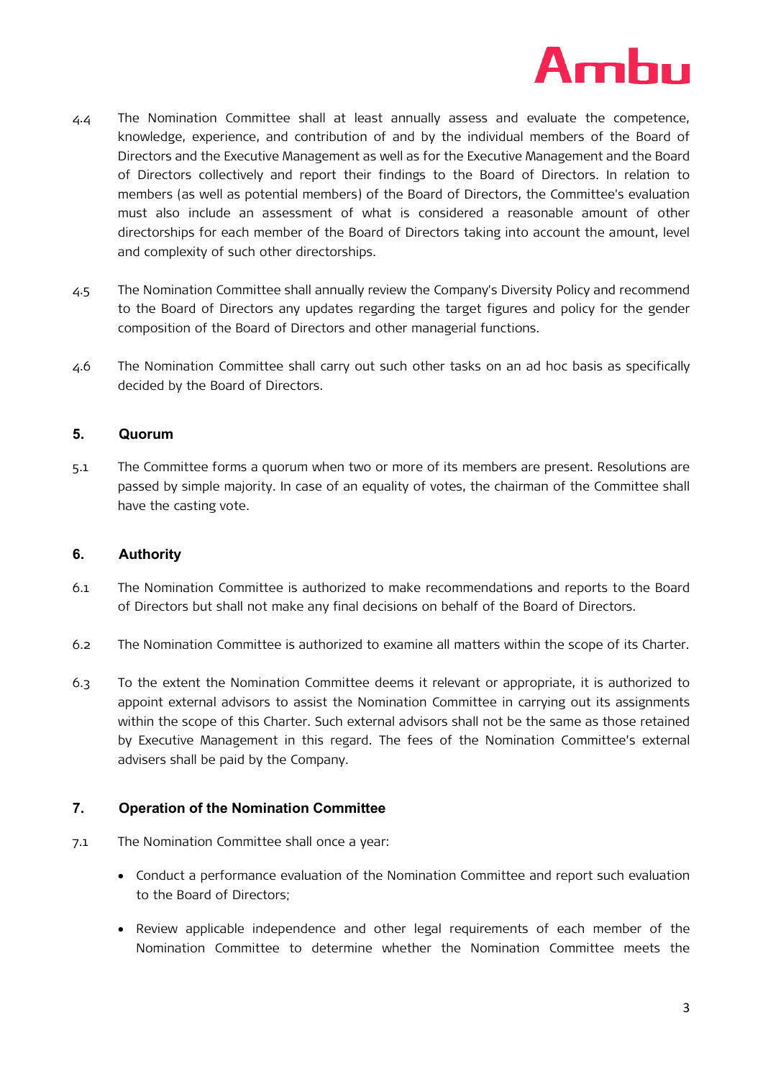

- 4.4 The Nomination Committee shall at least annually assess and evaluate the competence, knowledge, experience, and contribution of and by the individual members of the Board of Directors and the Executive Management as well as for the Executive Management and the Board of Directors collectively and report their findings to the Board of Directors. In relation to members (as well as potential members) of the Board of Directors, the Committee's evaluation must also include an assessment of what is considered a reasonable amount of other directorships for each member of the Board of Directors taking into account the amount, level and complexity of such other directorships.
- 4.5 The Nomination Committee shall annually review the Company's Diversity Policy and recommend to the Board of Directors any updates regarding the target figures and policy for the gender composition of the Board of Directors and other managerial functions.
- 4.6 The Nomination Committee shall carry out such other tasks on an ad hoc basis as specifically decided by the Board of Directors.

### **5. Quorum**

5.1 The Committee forms a quorum when two or more of its members are present. Resolutions are passed by simple majority. In case of an equality of votes, the chairman of the Committee shall have the casting vote.

### **6. Authority**

- 6.1 The Nomination Committee is authorized to make recommendations and reports to the Board of Directors but shall not make any final decisions on behalf of the Board of Directors.
- 6.2 The Nomination Committee is authorized to examine all matters within the scope of its Charter.
- 6.3 To the extent the Nomination Committee deems it relevant or appropriate, it is authorized to appoint external advisors to assist the Nomination Committee in carrying out its assignments within the scope of this Charter. Such external advisors shall not be the same as those retained by Executive Management in this regard. The fees of the Nomination Committee's external advisers shall be paid by the Company.

## **7. Operation of the Nomination Committee**

- 7.1 The Nomination Committee shall once a year:
	- Conduct a performance evaluation of the Nomination Committee and report such evaluation to the Board of Directors;
	- Review applicable independence and other legal requirements of each member of the Nomination Committee to determine whether the Nomination Committee meets the